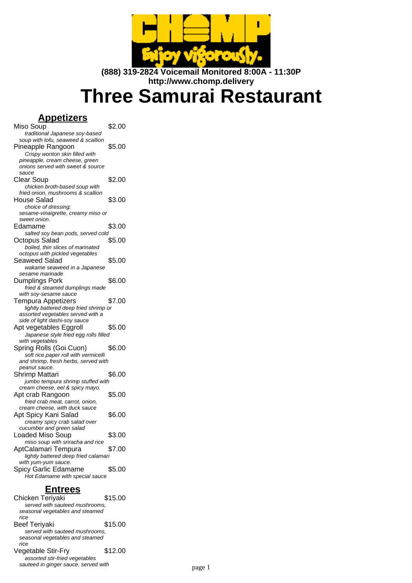

**(888) 319-2824 Voicemail Monitored 8:00A - 11:30P http://www.chomp.delivery**

# **Three Samurai Restaurant**

## **Appetizers**

| Miso Soup                             | \$2.00 |
|---------------------------------------|--------|
| traditional Japanese soy-based        |        |
| soup with tofu, seaweed & scallion    |        |
| Pineapple Rangoon                     | \$5.00 |
| Crispy wonton skin filled with        |        |
| pineapple, cream cheese, green        |        |
| onions served with sweet & source     |        |
| sauce                                 |        |
|                                       | \$2.00 |
| Clear Soup                            |        |
| chicken broth-based soup with         |        |
| fried onion, mushrooms & scallion     |        |
| House Salad                           | \$3.00 |
| choice of dressing:                   |        |
| sesame-vinaigrette, creamy miso or    |        |
| sweet onion.                          |        |
| Edamame                               | \$3.00 |
| salted soy bean pods, served cold     |        |
| Octopus Salad                         | \$5.00 |
| boiled, thin slices of marinated      |        |
| octopus with pickled vegetables       |        |
| Seaweed Salad                         | \$5.00 |
| wakame seaweed in a Japanese          |        |
| sesame marinade                       |        |
| Dumplings Pork                        | \$6.00 |
|                                       |        |
| fried & steamed dumplings made        |        |
| with soy-sesame sauce                 |        |
| Tempura Appetizers                    | \$7.00 |
| lightly battered deep fried shrimp or |        |
| assorted vegetables served with a     |        |
| side of light dashi-soy sauce         |        |
| Apt vegetables Eggroll                | \$5.00 |
| Japanese style fried egg rolls filled |        |
| with vegetables                       |        |
| Spring Rolls (Goi Cuon)               | \$6.00 |
| soft rice paper roll with vermicelli  |        |
| and shrimp, fresh herbs, served with  |        |
| peanut sauce.                         |        |
| Shrimp Mattari                        | \$6.00 |
| jumbo tempura shrimp stuffed with     |        |
| cream cheese, eel & spicy mayo.       |        |
| Apt crab Rangoon                      | \$5.00 |
| fried crab meat, carrot, onion,       |        |
| cream cheese, with duck sauce         |        |
| Apt Spicy Kani Salad                  | \$6.00 |
| creamy spicy crab salad over          |        |
| cucumber and green salad              |        |
| Loaded Miso Soup                      | \$3.00 |
| miso soup with sriracha and rice      |        |
| AptCalamari Tempura                   | \$7.00 |
|                                       |        |
| lightly battered deep fried calamari  |        |
| with yum-yum sauce.                   |        |
| Spicy Garlic Edamame                  | \$5.00 |
| Hot Edamame with special sauce        |        |

#### **Entrees**

Chicken Teriyaki \$15.00 served with sauteed mushrooms, seasonal vegetables and steamed rice Beef Teriyaki  $$15.00$ served with sauteed mushrooms, seasonal vegetables and steamed rice Vegetable Stir-Fry \$12.00 assorted stir-fried vegetables sauteed in ginger sauce, served with page 1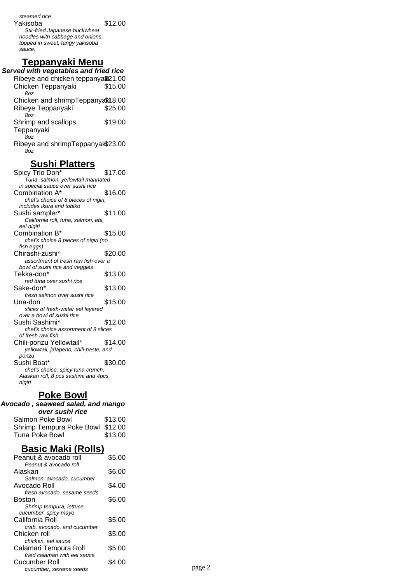steamed rice Yakisoba \$12.00 Stir-fried Japanese buckwheat noodles with cabbage and onions, topped in sweet, tangy yakisoba sauce.

#### **Teppanyaki Menu**

**Served with vegetables and fried rice** Ribeye and chicken teppanya\$21.00 Chicken Teppanyaki \$15.00 8oz Chicken and shrimpTeppanyak18.00 Ribeye Teppanyaki \$25.00 8oz Shrimp and scallops Teppanyaki \$19.00 8oz Ribeye and shrimpTeppanyak\$23.00 8oz

#### **Sushi Platters**

Spicy Trio Don<sup>\*</sup> \$17.00 Tuna, salmon, yellowtail marinated in special sauce over sushi rice Combination A\* \$16.00 chef's choice of 8 pieces of nigiri, includes ikura and tobiko Sushi sampler\* \$11.00 California roll, tuna, salmon, ebi, eel nigiri Combination B\* \$15.00 chef's choice 8 pieces of nigiri (no fish eggs) Chirashi-zushi\* \$20.00 assortment of fresh raw fish over a bowl of sushi rice and veggies Tekka-don\* \$13.00 red tuna over sushi rice Sake-don<sup>\*</sup> \$13.00 fresh salmon over sushi rice Una-don \$15.00 slices of fresh-water eel layered over a bowl of sushi rice Sushi Sashimi\* \$12.00 chef's choice assortment of 8 slices of fresh raw fish Chili-ponzu Yellowtail\* \$14.00 yellowtail, jalapeno, chili-paste, and ponzu Sushi Boat\* \$30.00 chef's choice: spicy tuna crunch, Alaskan roll, 8 pcs sashimi and 4pcs nigiri

#### **Poke Bowl**

#### **Avocado , seaweed salad, and mango over sushi rice**

| <u>owa Jujili Ivo</u>            |         |  |
|----------------------------------|---------|--|
| Salmon Poke Bowl                 | \$13.00 |  |
| Shrimp Tempura Poke Bowl \$12.00 |         |  |
| Tuna Poke Bowl                   | \$13.00 |  |

## **Basic Maki (Rolls)**

| Peanut & avocado roll                 | \$5.00 |        |
|---------------------------------------|--------|--------|
| Peanut & avocado roll                 |        |        |
| Alaskan                               | \$6.00 |        |
| Salmon, avocado, cucumber             |        |        |
| Avocado Roll                          | \$4.00 |        |
| fresh avocado, sesame seeds<br>Boston | \$6.00 |        |
| Shrimp tempura, lettuce,              |        |        |
| cucumber, spicy mayo                  |        |        |
| California Roll                       | \$5.00 |        |
| crab, avocado, and cucumber           |        |        |
| Chicken roll                          | \$5.00 |        |
| chicken, eel sauce                    |        |        |
| Calamari Tempura Roll                 | \$5.00 |        |
| fried calamari with eel sauce         |        |        |
| Cucumber Roll                         | \$4.00 | page 2 |
| cucumber, sesame seeds                |        |        |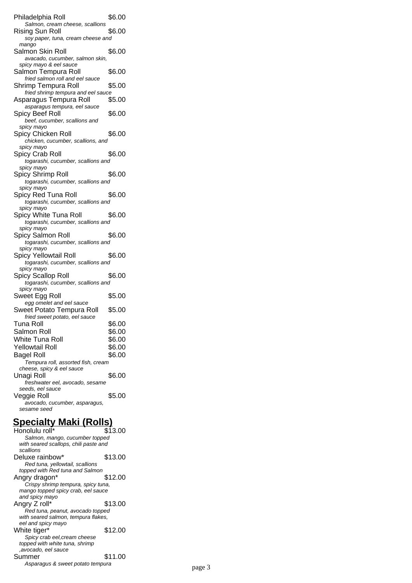| Philadelphia Roll                                     | \$6.00 |
|-------------------------------------------------------|--------|
| Salmon, cream cheese, scallions                       |        |
| Rising Sun Roll<br>soy paper, tuna, cream cheese and  | \$6.00 |
| mango                                                 |        |
| Salmon Skin Roll                                      | \$6.00 |
| avacado, cucumber, salmon skin,                       |        |
| spicy mayo & eel sauce                                |        |
| Salmon Tempura Roll                                   | \$6.00 |
| fried salmon roll and eel sauce                       |        |
| Shrimp Tempura Roll                                   | \$5.00 |
| fried shrimp tempura and eel sauce                    |        |
| Asparagus Tempura Roll                                | \$5.00 |
| asparagus tempura, eel sauce<br>Spicy Beef Roll       | \$6.00 |
| beef, cucumber, scallions and                         |        |
| spicy mayo                                            |        |
| Spicy Chicken Roll                                    | \$6.00 |
| chicken, cucumber, scallions, and                     |        |
| spicy mayo                                            |        |
| Spicy Crab Roll                                       | \$6.00 |
| togarashi, cucumber, scallions and                    |        |
| spicy mayo<br>Spicy Shrimp Roll                       | \$6.00 |
| togarashi, cucumber, scallions and                    |        |
| spicy mayo                                            |        |
| Spicy Red Tuna Roll                                   | \$6.00 |
| togarashi, cucumber, scallions and                    |        |
| spicy mayo<br>Spicy White Tuna Roll                   |        |
| togarashi, cucumber, scallions and                    | \$6.00 |
| spicy mayo                                            |        |
| Spicy Salmon Roll                                     | \$6.00 |
| togarashi, cucumber, scallions and                    |        |
| spicy mayo                                            |        |
| Spicy Yellowtail Roll                                 | \$6.00 |
| togarashi, cucumber, scallions and<br>spicy mayo      |        |
| Spicy Scallop Roll                                    | \$6.00 |
| togarashi, cucumber, scallions and                    |        |
| spicy mayo                                            |        |
| Sweet Egg Roll                                        | \$5.00 |
| egg omelet and eel sauce<br>Sweet Potato Tempura Roll |        |
| fried sweet potato, eel sauce                         | \$5.00 |
| Tuna Roll                                             | \$6.00 |
| Salmon Roll                                           | \$6.00 |
| White Tuna Roll                                       | \$6.00 |
| Yellowtail Roll                                       | \$6.00 |
| Bagel Roll                                            | \$6.00 |
| Tempura roll, assorted fish, cream                    |        |
| cheese, spicy & eel sauce                             |        |
| Unagi Roll                                            | \$6.00 |
| freshwater eel, avocado, sesame                       |        |
| seeds, eel sauce<br>Veggie Roll                       | \$5.00 |
| avocado, cucumber, asparagus,                         |        |
| sesame seed                                           |        |
| Snacialty Maki (Rolle)                                |        |
|                                                       |        |

| <b>Specialty Maki (Rolls)</b>                                           |         |
|-------------------------------------------------------------------------|---------|
| Honolulu roll*                                                          | \$13.00 |
| Salmon, mango, cucumber topped                                          |         |
| with seared scallops, chili paste and                                   |         |
| scallions                                                               |         |
| Deluxe rainbow*                                                         | \$13.00 |
| Red tuna, yellowtail, scallions                                         |         |
| topped with Red tuna and Salmon                                         |         |
| Angry dragon*                                                           | \$12.00 |
| Crispy shrimp tempura, spicy tuna,                                      |         |
| mango topped spicy crab, eel sauce                                      |         |
| and spicy mayo                                                          | \$13.00 |
| Angry Z roll*                                                           |         |
| Red tuna, peanut, avocado topped<br>with seared salmon, tempura flakes, |         |
| eel and spicy mayo                                                      |         |
| White tiger*                                                            | \$12.00 |
| Spicy crab eel, cream cheese                                            |         |
| topped with white tuna, shrimp                                          |         |
| ,avocado, eel sauce                                                     |         |
| Summer                                                                  | \$11.00 |
| Asparagus & sweet potato tempura                                        |         |
|                                                                         |         |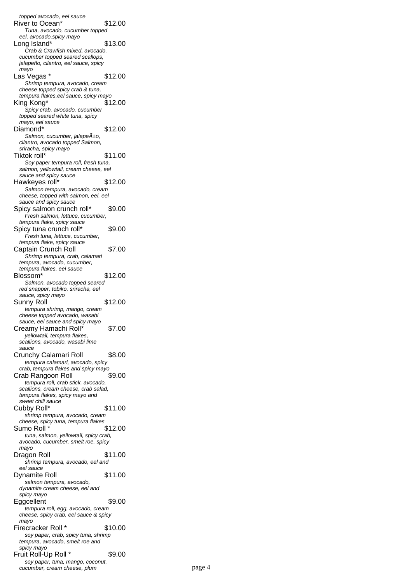topped avocado, eel sauce River to Ocean\* \$12.00 Tuna, avocado, cucumber topped eel, avocado,spicy mayo Long Island\* \$13.00 Crab & Crawfish mixed, avocado, cucumber topped seared scallops, jalapeño, cilantro, eel sauce, spicy mayo Las Vegas \* \$12.00 Shrimp tempura, avocado, cream cheese topped spicy crab & tuna, tempura flakes,eel sauce, spicy mayo King Kong\* \$12.00 Spicy crab, avocado, cucumber topped seared white tuna, spicy mayo, eel sauce Diamond\* \$12.00 Salmon, cucumber, jalapeño, cilantro, avocado topped Salmon, sriracha, spicy mayo Tiktok roll<sup>\*</sup> \$11.00 Soy paper tempura roll, fresh tuna, salmon, yellowtail, cream cheese, eel sauce and spicy sauce Hawkeyes roll\* \$12.00 Salmon tempura, avocado, cream cheese, topped with salmon, eel, eel sauce and spicy sauce Spicy salmon crunch roll\* \$9.00 Fresh salmon, lettuce, cucumber, tempura flake, spicy sauce Spicy tuna crunch roll\* \$9.00 Fresh tuna, lettuce, cucumber, tempura flake, spicy sauce Captain Crunch Roll \$7.00 Shrimp tempura, crab, calamari tempura, avocado, cucumber, tempura flakes, eel sauce Blossom\* \$12.00 Salmon, avocado topped seared red snapper, tobiko, sriracha, eel sauce, spicy mayo Sunny Roll \$12.00 tempura shrimp, mango, cream cheese topped avocado, wasabi sauce, eel sauce and spicy mayo Creamy Hamachi Roll\* \$7.00 yellowtail, tempura flakes, scallions, avocado, wasabi lime sauce Crunchy Calamari Roll \$8.00 tempura calamari, avocado, spicy crab, tempura flakes and spicy mayo Crab Rangoon Roll \$9.00 tempura roll, crab stick, avocado, scallions, cream cheese, crab salad, tempura flakes, spicy mayo and sweet chili sauce Cubby Roll\* \$11.00 shrimp tempura, avocado, cream cheese, spicy tuna, tempura flakes Sumo Roll \* \$12.00 tuna, salmon, yellowtail, spicy crab, avocado, cucumber, smelt roe, spicy mayo Dragon Roll \$11.00 shrimp tempura, avocado, eel and eel sauce Dynamite Roll \$11.00 salmon tempura, avocado, dynamite cream cheese, eel and spicy mayo Eggcellent \$9.00 tempura roll, egg, avocado, cream cheese, spicy crab, eel sauce & spicy mayo Firecracker Roll \* \$10.00 soy paper, crab, spicy tuna, shrimp tempura, avocado, smelt roe and spicy mayo Fruit Roll-Up Roll \* \$9.00 soy paper, tuna, mango, coconut, cucumber, cream cheese, plum page 4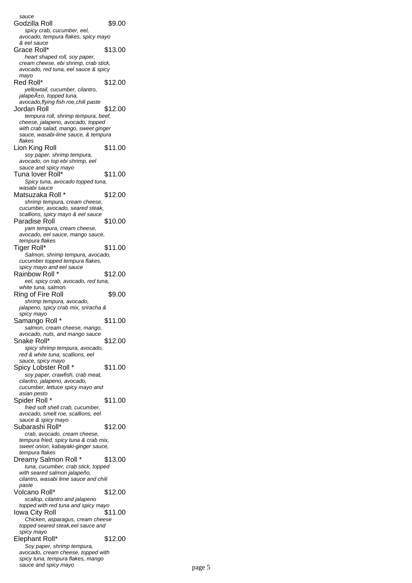sauce Godzilla Roll **\$9.00** spicy crab, cucumber, eel, avocado, tempura flakes, spicy mayo & eel sauce Grace Roll\* \$13.00 heart shaped roll, soy paper, cream cheese, ebi shrimp, crab stick, avocado, red tuna, eel sauce & spicy mayo Red Roll\* \$12.00 yellowtail, cucumber, cilantro,  $i$ alape $A_{\pm 0}$ , topped tuna, avocado,flying fish roe,chili paste Jordan Roll \$12.00 tempura roll, shrimp tempura, beef, cheese, jalapeno, avocado, topped with crab salad, mango, sweet ginger sauce, wasabi-lime sauce, & tempura flakes Lion King Roll \$11.00 soy paper, shrimp tempura, avocado, on top ebi shrimp, eel sauce and spicy mayo Tuna lover Roll\* \$11.00 Spicy tuna, avocado topped tuna, wasabi sauce Matsuzaka Roll \* \$12.00 shrimp tempura, cream cheese, cucumber, avocado, seared steak, scallions, spicy mayo & eel sauce Paradise Roll \$10.00 yam tempura, cream cheese, avocado, eel sauce, mango sauce, tempura flakes Tiger Roll\* \$11.00 Salmon, shrimp tempura, avocado, cucumber topped tempura flakes, spicy mayo and eel sauce Rainbow Roll \* \$12.00 eel, spicy crab, avocado, red tuna, white tuna, salmon. Ring of Fire Roll \$9.00 shrimp tempura, avocado, jalapeno, spicy crab mix, sriracha & spicy mayo Samango Roll \* \$11.00 salmon, cream cheese, mango, avocado, nuts, and mango sauce Snake Roll\* \$12.00 spicy shrimp tempura, avocado, red & white tuna, scallions, eel sauce, spicy mayo Spicy Lobster Roll \* \$11.00 soy paper, crawfish, crab meat, cilantro, jalapeno, avocado, cucumber, lettuce spicy mayo and asian pesto Spider Roll \* \$11.00 fried soft shell crab, cucumber, avocado, smelt roe, scallions, eel sauce & spicy mayo Subarashi Roll\* \$12.00 crab, avocado, cream cheese, tempura fried, spicy tuna & crab mix, sweet onion, kabayaki-ginger sauce, tempura flakes Dreamy Salmon Roll \* \$13.00 tuna, cucumber, crab stick, topped with seared salmon jalapeño, cilantro, wasabi lime sauce and chili paste Volcano Roll\* \$12.00 scallop, cilantro and jalapeno topped with red tuna and spicy mayo Iowa City Roll \$11.00 Chicken, asparagus, cream cheese topped seared steak,eel sauce and spicy mayo Elephant Roll\* \$12.00 Soy paper, shrimp tempura, avocado, cream cheese, topped with spicy tuna, tempura flakes, mango sauce and spicy mayo page 5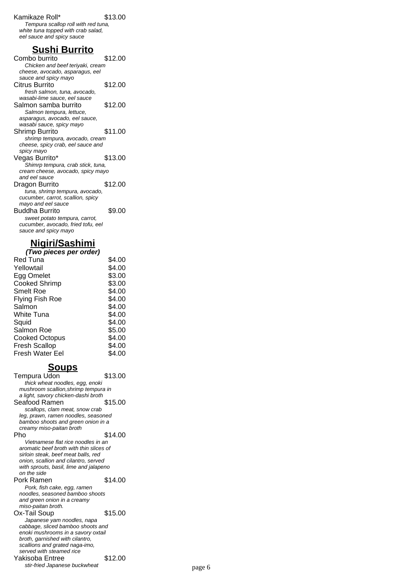#### Kamikaze Roll\* \$13.00

Tempura scallop roll with red tuna, white tuna topped with crab salad, eel sauce and spicy sauce

#### **Sushi Burrito**

Combo burrito \$12.00 Chicken and beef teriyaki, cream cheese, avocado, asparagus, eel sauce and spicy mayo Citrus Burrito \$12.00 fresh salmon, tuna, avocado, wasabi-lime sauce, eel sauce Salmon samba burrito \$12.00 Salmon tempura, lettuce, asparagus, avocado, eel sauce, wasabi sauce, spicy mayo Shrimp Burrito \$11.00 shrimp tempura, avocado, cream cheese, spicy crab, eel sauce and spicy mayo Vegas Burrito\* \$13.00 Shimrp tempura, crab stick, tuna, cream cheese, avocado, spicy mayo and eel sauce Dragon Burrito \$12.00 tuna, shrimp tempura, avocado, cucumber, carrot, scallion, spicy mayo and eel sauce Buddha Burrito \$9.00 sweet potato tempura, carrot, cucumber, avocado, fried tofu, eel sauce and spicy mayo

## **Nigiri/Sashimi**

| (Two pieces per order) |        |  |
|------------------------|--------|--|
| Red Tuna               | \$4.00 |  |
| Yellowtail             | \$4.00 |  |
| Egg Omelet             | \$3.00 |  |
| Cooked Shrimp          | \$3.00 |  |
| Smelt Roe              | \$4.00 |  |
| Flying Fish Roe        | \$4.00 |  |
| Salmon                 | \$4.00 |  |
| White Tuna             | \$4.00 |  |
| Squid                  | \$4.00 |  |
| Salmon Roe             | \$5.00 |  |
| Cooked Octopus         | \$4.00 |  |
| Fresh Scallop          | \$4.00 |  |
| Fresh Water Eel        | \$4.00 |  |

#### **Soups**

Tempura Udon \$13.00 thick wheat noodles, egg, enoki mushroom scallion,shrimp tempura in a light, savory chicken-dashi broth Seafood Ramen \$15.00 scallops, clam meat, snow crab leg, prawn, ramen noodles, seasoned bamboo shoots and green onion in a creamy miso-paitan broth Pho \$14.00 Vietnamese flat rice noodles in an aromatic beef broth with thin slices of sirloin steak, beef meat balls, red onion, scallion and cilantro, served with sprouts, basil, lime and jalapeno on the side Pork Ramen \$14.00 Pork, fish cake, egg, ramen noodles, seasoned bamboo shoots and green onion in a creamy miso-paitan broth. Ox-Tail Soup \$15.00 Japanese yam noodles, napa cabbage, sliced bamboo shoots and enoki mushrooms in a savory oxtail broth, garnished with cilantro, scallions and grated naga-imo, served with steamed rice Yakisoba Entree \$12.00 stir-fried Japanese buckwheat **page 6** page 6